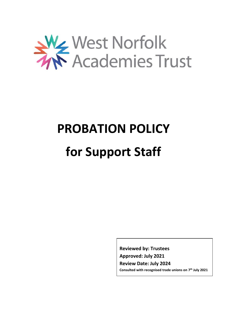

# **PROBATION POLICY**

# **for Support Staff**

**Reviewed by: Trustees Approved: July 2021 Review Date: July 2024 Consulted with recognised trade unions on 7 th July 2021**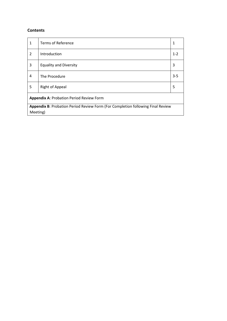# **Contents**

| 1                                                                               | <b>Terms of Reference</b>     | 1       |
|---------------------------------------------------------------------------------|-------------------------------|---------|
| $\overline{2}$                                                                  | Introduction                  | $1 - 2$ |
| 3                                                                               | <b>Equality and Diversity</b> | 3       |
| 4                                                                               | The Procedure                 | $3 - 5$ |
| 5                                                                               | Right of Appeal               | 5       |
| <b>Appendix A: Probation Period Review Form</b>                                 |                               |         |
| Appendix B: Probation Period Review Form (For Completion following Final Review |                               |         |
| Meeting)                                                                        |                               |         |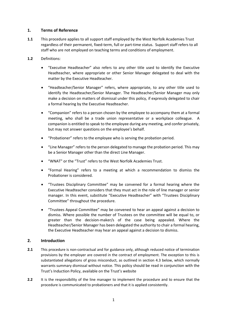# **1. Terms of Reference**

- **1.1** This procedure applies to all support staff employed by the West Norfolk Academies Trust regardless of their permanent, fixed-term, full or part-time status. Support staff refers to all staff who are not employed on teaching terms and conditions of employment.
- **1.2** Definitions:
	- "Executive Headteacher" also refers to any other title used to identify the Executive Headteacher, where appropriate or other Senior Manager delegated to deal with the matter by the Executive Headteacher.
	- "Headteacher/Senior Manager" refers, where appropriate, to any other title used to identify the Headteacher/Senior Manager. The Headteacher/Senior Manager may only make a decision on matters of dismissal under this policy, if expressly delegated to chair a formal hearing by the Executive Headteacher.
	- "Companion" refers to a person chosen by the employee to accompany them at a formal meeting, who shall be a trade union representative or a workplace colleague. A companion is entitled to speak to the employee during any meeting, and confer privately, but may not answer questions on the employee's behalf.
	- "Probationer" refers to the employee who is serving the probation period.
	- "Line Manager" refers to the person delegated to manage the probation period. This may be a Senior Manager other than the direct Line Manager.
	- "WNAT" or the "Trust" refers to the West Norfolk Academies Trust.
	- "Formal Hearing" refers to a meeting at which a recommendation to dismiss the Probationer is considered.
	- "Trustees Disciplinary Committee" may be convened for a formal hearing where the Executive Headteacher considers that they must act in the role of line manager or senior manager. In this event, substitute "Executive Headteacher" with "Trustees Disciplinary Committee" throughout the procedure.
	- "Trustees Appeal Committee" may be convened to hear an appeal against a decision to dismiss. Where possible the number of Trustees on the committee will be equal to, or greater than the decision-maker/s of the case being appealed. Where the Headteacher/Senior Manager has been delegated the authority to chair a formal hearing, the Executive Headteacher may hear an appeal against a decision to dismiss.

# **2. Introduction**

- 2.1 This procedure is non-contractual and for guidance only, although reduced notice of termination provisions by the employer are covered in the contract of employment. The exception to this is substantiated allegations of gross misconduct, as outlined in section 4.3 below, which normally warrants summary dismissal without notice. This policy should be read in conjunction with the Trust's Induction Policy, available on the Trust's website
- **2.2** It is the responsibility of the line manager to implement the procedure and to ensure that the procedure is communicated to probationers and that it is applied consistently.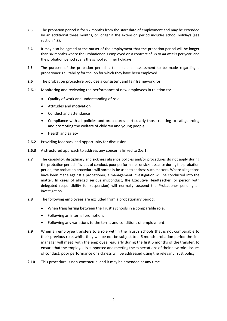- **2.3** The probation period is for six months from the start date of employment and may be extended by an additional three months, or longer if the extension period includes school holidays (see section 4.8).
- **2.4** It may also be agreed at the outset of the employment that the probation period will be longer than six months where the Probationer is employed on a contract of 38 to 44 weeks per year and the probation period spans the school summer holidays.
- **2.5** The purpose of the probation period is to enable an assessment to be made regarding a probationer's suitability for the job for which they have been employed.
- **2.6** The probation procedure provides a consistent and fair framework for:
- **2.6.1** Monitoring and reviewing the performance of new employees in relation to:
	- Quality of work and understanding of role
	- Attitudes and motivation
	- Conduct and attendance
	- Compliance with all policies and procedures particularly those relating to safeguarding and promoting the welfare of children and young people
	- Health and safety
- **2.6.2** Providing feedback and opportunity for discussion.
- **2.6.3** A structured approach to address any concerns linked to 2.6.1.
- **2.7** The capability, disciplinary and sickness absence policies and/or procedures do not apply during the probation period. If issues of conduct, poor performance or sickness arise during the probation period, the probation procedure will normally be used to address such matters. Where allegations have been made against a probationer, a management investigation will be conducted into the matter. In cases of alleged serious misconduct, the Executive Headteacher (or person with delegated responsibility for suspension) will normally suspend the Probationer pending an investigation.
- **2.8** The following employees are excluded from a probationary period:
	- When transferring between the Trust's schools in a comparable role,
	- Following an internal promotion,
	- Following any variations to the terms and conditions of employment.
- **2.9** When an employee transfers to a role within the Trust's schools that is not comparable to their previous role, whilst they will be not be subject to a 6 month probation period the line manager will meet with the employee regularly during the first 6 months of the transfer, to ensure that the employee is supported and meeting the expectations of their new role. Issues of conduct, poor performance or sickness will be addressed using the relevant Trust policy.
- **2.10** This procedure is non-contractual and it may be amended at any time.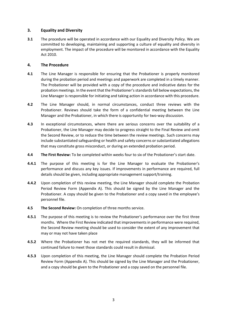# **3. Equality and Diversity**

**3.1** The procedure will be operated in accordance with our Equality and Diversity Policy. We are committed to developing, maintaining and supporting a culture of equality and diversity in employment. The impact of the procedure will be monitored in accordance with the Equality Act 2010.

## **4. The Procedure**

- **4.1** The Line Manager is responsible for ensuring that the Probationer is properly monitored during the probation period and meetings and paperwork are completed in a timely manner. The Probationer will be provided with a copy of the procedure and indicative dates for the probation meetings. In the event that the Probationer's standards fall below expectations, the Line Manager is responsible for initiating and taking action in accordance with this procedure.
- **4.2** The Line Manager should, in normal circumstances, conduct three reviews with the Probationer. Reviews should take the form of a confidential meeting between the Line Manager and the Probationer, in which there is opportunity for two-way discussion.
- **4.3** In exceptional circumstances, where there are serious concerns over the suitability of a Probationer, the Line Manager may decide to progress straight to the Final Review and omit the Second Review, or to reduce the time between the review meetings. Such concerns may include substantiated safeguarding or health and safety concerns or substantiated allegations that may constitute gross misconduct, or during an extended probation period.
- **4.4 The First Review:** To be completed within weeks four to six of the Probationer's start date.
- **4.4.1** The purpose of this meeting is for the Line Manager to evaluate the Probationer's performance and discuss any key issues. If improvements in performance are required, full details should be given, including appropriate management support/training.
- **4.4.2** Upon completion of this review meeting, the Line Manager should complete the Probation Period Review Form (Appendix A). This should be signed by the Line Manager and the Probationer. A copy should be given to the Probationer and a copy saved in the employee's personnel file.
- **4.5 The Second Review:** On completion of three months service.
- **4.5.1** The purpose of this meeting is to review the Probationer's performance over the first three months. Where the First Review indicated that improvements in performance were required, the Second Review meeting should be used to consider the extent of any improvement that may or may not have taken place
- **4.5.2** Where the Probationer has not met the required standards, they will be informed that continued failure to meet those standards could result in dismissal.
- **4.5.3** Upon completion of this meeting, the Line Manager should complete the Probation Period Review Form (Appendix A). This should be signed by the Line Manager and the Probationer, and a copy should be given to the Probationer and a copy saved on the personnel file.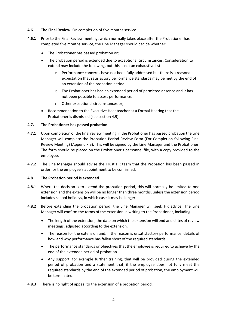- **4.6. The Final Review:** On completion of five months service.
- **4.6.1** Prior to the Final Review meeting, which normally takes place after the Probationer has completed five months service, the Line Manager should decide whether:
	- The Probationer has passed probation or;
	- The probation period is extended due to exceptional circumstances. Consideration to extend may include the following, but this is not an exhaustive list:
		- Performance concerns have not been fully addressed but there is a reasonable expectation that satisfactory performance standards may be met by the end of an extension of the probation period.
		- $\circ$  The Probationer has had an extended period of permitted absence and it has not been possible to assess performance.
		- o Other exceptional circumstances or;
	- Recommendation to the Executive Headteacher at a Formal Hearing that the Probationer is dismissed (see section 4.9).

## **4.7. The Probationer has passed probation**

- **4.7.1** Upon completion of the final review meeting, if the Probationer has passed probation the Line Manager will complete the Probation Period Review Form (For Completion following Final Review Meeting) (Appendix B). This will be signed by the Line Manager and the Probationer. The form should be placed on the Probationer's personnel file, with a copy provided to the employee.
- **4.7.2** The Line Manager should advise the Trust HR team that the Probation has been passed in order for the employee's appointment to be confirmed.

#### **4.8. The Probation period is extended**

- **4.8.1** Where the decision is to extend the probation period, this will normally be limited to one extension and the extension will be no longer than three months, unless the extension period includes school holidays, in which case it may be longer.
- **4.8.2** Before extending the probation period, the Line Manager will seek HR advice. The Line Manager will confirm the terms of the extension in writing to the Probationer, including:
	- The length of the extension, the date on which the extension will end and dates of review meetings, adjusted according to the extension.
	- The reason for the extension and, if the reason is unsatisfactory performance, details of how and why performance has fallen short of the required standards.
	- The performance standards or objectives that the employee is required to achieve by the end of the extended period of probation.
	- Any support, for example further training, that will be provided during the extended period of probation and a statement that, if the employee does not fully meet the required standards by the end of the extended period of probation, the employment will be terminated.
- **4.8.3** There is no right of appeal to the extension of a probation period.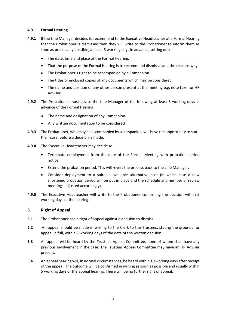#### **4.9. Formal Hearing**

- **4.9.1** If the Line Manager decides to recommend to the Executive Headteacher at a Formal Hearing that the Probationer is dismissed then they will write to the Probationer to inform them as soon as practicably possible, at least 5 working days in advance, setting out:
	- The date, time and place of the Formal Hearing.
	- That the purpose of the Formal Hearing is to recommend dismissal and the reasons why.
	- The Probationer's right to be accompanied by a Companion.
	- The titles of enclosed copies of any documents which may be considered.
	- The name and position of any other person present at the meeting e.g. note taker or HR Adviser.
- **4.9.2** The Probationer must advise the Line Manager of the following at least 3 working days in advance of the Formal Hearing:
	- The name and designation of any Companion.
	- Any written documentation to be considered
- **4.9.3** The Probationer, who may be accompanied by a companion, will have the opportunity to state their case, before a decision is made.
- **4.9.4** The Executive Headteacher may decide to:
	- Terminate employment from the date of the Formal Meeting with probation period notice.
	- Extend the probation period. This will revert the process back to the Line Manager.
	- Consider deployment to a suitable available alternative post (in which case a new shortened probation period will be put in place and the schedule and number of review meetings adjusted accordingly).
- **4.9.5** The Executive Headteacher will write to the Probationer confirming the decision within 5 working days of the hearing.

# **5. Right of Appeal**

- **5.1** The Probationer has a right of appeal against a decision to dismiss.
- **5.2** An appeal should be made in writing to the Clerk to the Trustees, stating the grounds for appeal in full, within 5 working days of the date of the written decision.
- **5.3** An appeal will be heard by the Trustees Appeal Committee, none of whom shall have any previous involvement in the case. The Trustees Appeal Committee may have an HR Adviser present.
- **5.4** An appeal hearing will, in normal circumstances, be heard within 10 working days after receipt of the appeal. The outcome will be confirmed in writing as soon as possible and usually within 5 working days of the appeal hearing. There will be no further right of appeal.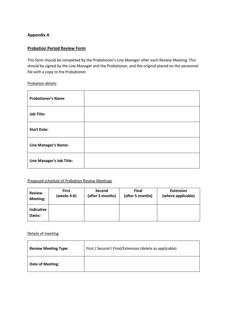# **Appendix A**

# **Probation Period Review Form**

This form should be completed by the Probationer's Line Manager after each Review Meeting. This should be signed by the Line Manager and the Probationer, and the original placed on the personnel file with a copy to the Probationer.

#### Probation details

| <b>Probationer's Name</b> |  |
|---------------------------|--|
| <b>Job Title:</b>         |  |
| <b>Start Date:</b>        |  |
| Line Manager's Name:      |  |
| Line Manager's Job Title: |  |

#### Proposed schedule of Probation Review Meetings

| <b>Review</b>        | <b>First</b> | Second           | <b>Final</b>     | <b>Extension</b>   |
|----------------------|--------------|------------------|------------------|--------------------|
| Meeting:             | (weeks 4-6)  | (after 3 months) | (after 5 months) | (where applicable) |
| Indicative<br>Dates: |              |                  |                  |                    |

# Details of meeting

| <b>Review Meeting Type:</b> | First / Second / Final/Extension (delete as applicable) |
|-----------------------------|---------------------------------------------------------|
| <b>Date of Meeting:</b>     |                                                         |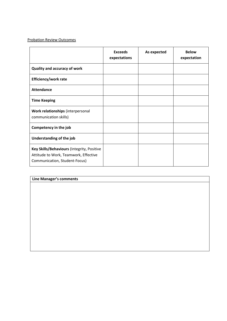# Probation Review Outcomes

|                                                                                                                      | <b>Exceeds</b><br>expectations | As expected | <b>Below</b><br>expectation |
|----------------------------------------------------------------------------------------------------------------------|--------------------------------|-------------|-----------------------------|
| <b>Quality and accuracy of work</b>                                                                                  |                                |             |                             |
| <b>Efficiency/work rate</b>                                                                                          |                                |             |                             |
| <b>Attendance</b>                                                                                                    |                                |             |                             |
| <b>Time Keeping</b>                                                                                                  |                                |             |                             |
| Work relationships (interpersonal<br>communication skills)                                                           |                                |             |                             |
| Competency in the job                                                                                                |                                |             |                             |
| Understanding of the job                                                                                             |                                |             |                             |
| Key Skills/Behaviours (Integrity, Positive<br>Attitude to Work, Teamwork, Effective<br>Communication, Student-Focus) |                                |             |                             |

| Line Manager's comments |  |  |
|-------------------------|--|--|
|                         |  |  |
|                         |  |  |
|                         |  |  |
|                         |  |  |
|                         |  |  |
|                         |  |  |
|                         |  |  |
|                         |  |  |
|                         |  |  |
|                         |  |  |
|                         |  |  |
|                         |  |  |
|                         |  |  |
|                         |  |  |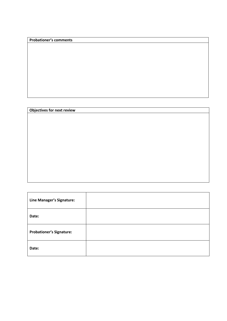# **Probationer's comments**

# **Objectives for next review**

| Line Manager's Signature:       |  |
|---------------------------------|--|
| Date:                           |  |
| <b>Probationer's Signature:</b> |  |
| Date:                           |  |